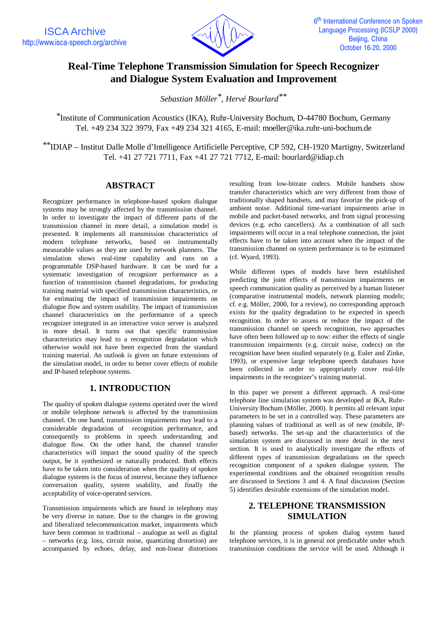

# **Real-Time Telephone Transmission Simulation for Speech Recognizer and Dialogue System Evaluation and Improvement**

*Sebastian Möller\*, Hervé Bourlard\*\**

\*Institute of Communication Acoustics (IKA), Ruhr-University Bochum, D-44780 Bochum, Germany Tel. +49 234 322 3979, Fax +49 234 321 4165, E-mail: moeller@ika.ruhr-uni-bochum.de

\*\*IDIAP – Institut Dalle Molle d'Intelligence Artificielle Perceptive, CP 592, CH-1920 Martigny, Switzerland Tel. +41 27 721 7711, Fax +41 27 721 7712, E-mail: bourlard@idiap.ch

### **ABSTRACT**

Recognizer performance in telephone-based spoken dialogue systems may be strongly affected by the transmission channel. In order to investigate the impact of different parts of the transmission channel in more detail, a simulation model is presented. It implements all transmission characteristics of modern telephone networks, based on instrumentally measurable values as they are used by network planners. The simulation shows real-time capability and runs on a programmable DSP-based hardware. It can be used for a systematic investigation of recognizer performance as a function of transmission channel degradations, for producing training material with specified transmission characteristics, or for estimating the impact of transmission impairments on dialogue flow and system usability. The impact of transmission channel characteristics on the performance of a speech recognizer integrated in an interactive voice server is analyzed in more detail. It turns out that specific transmission characteristics may lead to a recognition degradation which otherwise would not have been expected from the standard training material. An outlook is given on future extensions of the simulation model, in order to better cover effects of mobile and IP-based telephone systems.

### **1. INTRODUCTION**

The quality of spoken dialogue systems operated over the wired or mobile telephone network is affected by the transmission channel. On one hand, transmission impairments may lead to a considerable degradation of recognition performance, and consequently to problems in speech understanding and dialogue flow. On the other hand, the channel transfer characteristics will impact the sound quality of the speech output, be it synthesized or naturally produced. Both effects have to be taken into consideration when the quality of spoken dialogue systems is the focus of interest, because they influence conversation quality, system usability, and finally the acceptability of voice-operated services.

Transmission impairments which are found in telephony may be very diverse in nature. Due to the changes in the growing and liberalized telecommunication market, impairments which have been common in traditional – analogue as well as digital – networks (e.g. loss, circuit noise, quantizing distortion) are accompanied by echoes, delay, and non-linear distortions resulting from low-bitrate codecs. Mobile handsets show transfer characteristics which are very different from those of traditionally shaped handsets, and may favorize the pick-up of ambient noise. Additional time-variant impairments arise in mobile and packet-based networks, and from signal processing devices (e.g. echo cancellers). As a combination of all such impairments will occur in a real telephone connection, the joint effects have to be taken into account when the impact of the transmission channel on system performance is to be estimated (cf. Wyard, 1993).

While different types of models have been established predicting the joint effects of transmission impairments on speech communication quality as perceived by a human listener (comparative instrumental models, network planning models; cf. e.g. Möller, 2000, for a review), no corresponding approach exists for the quality degradation to be expected in speech recognition. In order to assess or reduce the impact of the transmission channel on speech recognition, two approaches have often been followed up to now: either the effects of single transmission impairments (e.g. circuit noise, codecs) on the recognition have been studied separately (e.g. Euler and Zinke, 1993), or expensive large telephone speech databases have been collected in order to appropriately cover real-life impairments in the recognizer's training material.

In this paper we present a different approach. A real-time telephone line simulation system was developed at IKA, Ruhr-University Bochum (Möller, 2000). It permits all relevant input parameters to be set in a controlled way. These parameters are planning values of traditional as well as of new (mobile, IPbased) networks. The set-up and the characteristics of the simulation system are discussed in more detail in the next section. It is used to analytically investigate the effects of different types of transmission degradations on the speech recognition component of a spoken dialogue system. The experimental conditions and the obtained recognition results are discussed in Sections 3 and 4. A final discussion (Section 5) identifies desirable extensions of the simulation model.

## **2. TELEPHONE TRANSMISSION SIMULATION**

In the planning process of spoken dialog system based telephone services, it is in general not predictable under which transmission conditions the service will be used. Although it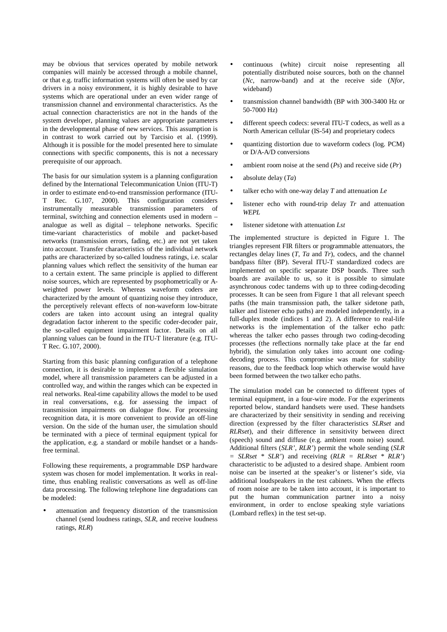may be obvious that services operated by mobile network companies will mainly be accessed through a mobile channel, or that e.g. traffic information systems will often be used by car drivers in a noisy environment, it is highly desirable to have systems which are operational under an even wider range of transmission channel and environmental characteristics. As the actual connection characteristics are not in the hands of the system developer, planning values are appropriate parameters in the developmental phase of new services. This assumption is in contrast to work carried out by Tarcisio et al. (1999). Although it is possible for the model presented here to simulate connections with specific components, this is not a necessary prerequisite of our approach.

The basis for our simulation system is a planning configuration defined by the International Telecommunication Union (ITU-T) in order to estimate end-to-end transmission performance (ITU-T Rec. G.107, 2000). This configuration considers instrumentally measurable transmission parameters of terminal, switching and connection elements used in modern – analogue as well as digital – telephone networks. Specific time-variant characteristics of mobile and packet-based networks (transmission errors, fading, etc.) are not yet taken into account. Transfer characteristics of the individual network paths are characterized by so-called loudness ratings, i.e. scalar planning values which reflect the sensitivity of the human ear to a certain extent. The same principle is applied to different noise sources, which are represented by psophometrically or Aweighted power levels. Whereas waveform coders are characterized by the amount of quantizing noise they introduce, the perceptively relevant effects of non-waveform low-bitrate coders are taken into account using an integral quality degradation factor inherent to the specific coder-decoder pair, the so-called equipment impairment factor. Details on all planning values can be found in the ITU-T literature (e.g. ITU-T Rec. G.107, 2000).

Starting from this basic planning configuration of a telephone connection, it is desirable to implement a flexible simulation model, where all transmission parameters can be adjusted in a controlled way, and within the ranges which can be expected in real networks. Real-time capability allows the model to be used in real conversations, e.g. for assessing the impact of transmission impairments on dialogue flow. For processing recognition data, it is more convenient to provide an off-line version. On the side of the human user, the simulation should be terminated with a piece of terminal equipment typical for the application, e.g. a standard or mobile handset or a handsfree terminal.

Following these requirements, a programmable DSP hardware system was chosen for model implementation. It works in realtime, thus enabling realistic conversations as well as off-line data processing. The following telephone line degradations can be modeled:

attenuation and frequency distortion of the transmission channel (send loudness ratings, *SLR*, and receive loudness ratings, *RLR*)

- continuous (white) circuit noise representing all potentially distributed noise sources, both on the channel (*Nc*, narrow-band) and at the receive side (*Nfor*, wideband)
- transmission channel bandwidth (BP with 300-3400 Hz or 50-7000 Hz)
- different speech codecs: several ITU-T codecs, as well as a North American cellular (IS-54) and proprietary codecs
- quantizing distortion due to waveform codecs (log. PCM) or D/A-A/D conversions
- ambient room noise at the send (*Ps*) and receive side (*Pr*)
- absolute delay (*Ta*)
- talker echo with one-way delay  $T$  and attenuation  $Le$
- listener echo with round-trip delay *Tr* and attenuation *WEPL*
- listener sidetone with attenuation *Lst*

The implemented structure is depicted in Figure 1. The triangles represent FIR filters or programmable attenuators, the rectangles delay lines (*T*, *Ta* and *Tr*), codecs, and the channel bandpass filter (BP). Several ITU-T standardized codecs are implemented on specific separate DSP boards. Three such boards are available to us, so it is possible to simulate asynchronous codec tandems with up to three coding-decoding processes. It can be seen from Figure 1 that all relevant speech paths (the main transmission path, the talker sidetone path, talker and listener echo paths) are modeled independently, in a full-duplex mode (indices 1 and 2). A difference to real-life networks is the implementation of the talker echo path: whereas the talker echo passes through two coding-decoding processes (the reflections normally take place at the far end hybrid), the simulation only takes into account one codingdecoding process. This compromise was made for stability reasons, due to the feedback loop which otherwise would have been formed between the two talker echo paths.

The simulation model can be connected to different types of terminal equipment, in a four-wire mode. For the experiments reported below, standard handsets were used. These handsets are characterized by their sensitivity in sending and receiving direction (expressed by the filter characteristics *SLRset* and *RLRset*), and their difference in sensitivity between direct (speech) sound and diffuse (e.g. ambient room noise) sound. Additional filters (*SLR'*, *RLR'*) permit the whole sending (*SLR = SLRset \* SLR'*) and receiving (*RLR = RLRset \* RLR'*) characteristic to be adjusted to a desired shape. Ambient room noise can be inserted at the speaker's or listener's side, via additional loudspeakers in the test cabinets. When the effects of room noise are to be taken into account, it is important to put the human communication partner into a noisy environment, in order to enclose speaking style variations (Lombard reflex) in the test set-up.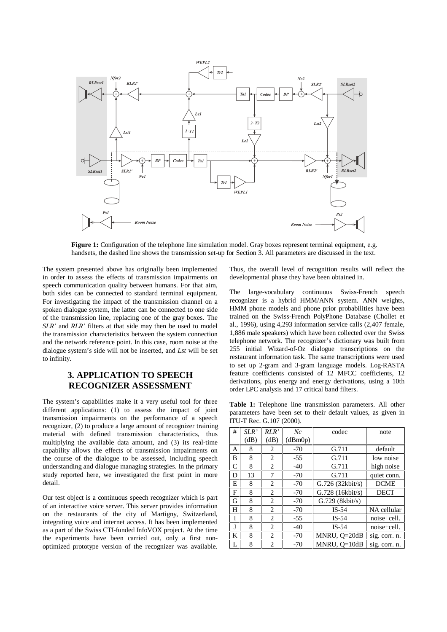

**Figure 1:** Configuration of the telephone line simulation model. Gray boxes represent terminal equipment, e.g. handsets, the dashed line shows the transmission set-up for Section 3. All parameters are discussed in the text.

The system presented above has originally been implemented in order to assess the effects of transmission impairments on speech communication quality between humans. For that aim, both sides can be connected to standard terminal equipment. For investigating the impact of the transmission channel on a spoken dialogue system, the latter can be connected to one side of the transmission line, replacing one of the gray boxes. The *SLR'* and *RLR'* filters at that side may then be used to model the transmission characteristics between the system connection and the network reference point. In this case, room noise at the dialogue system's side will not be inserted, and *Lst* will be set to infinity.

### **3. APPLICATION TO SPEECH RECOGNIZER ASSESSMENT**

The system's capabilities make it a very useful tool for three different applications: (1) to assess the impact of joint transmission impairments on the performance of a speech recognizer, (2) to produce a large amount of recognizer training material with defined transmission characteristics, thus multiplying the available data amount, and (3) its real-time capability allows the effects of transmission impairments on the course of the dialogue to be assessed, including speech understanding and dialogue managing strategies. In the primary study reported here, we investigated the first point in more detail.

Our test object is a continuous speech recognizer which is part of an interactive voice server. This server provides information on the restaurants of the city of Martigny, Switzerland, integrating voice and internet access. It has been implemented as a part of the Swiss CTI-funded InfoVOX project. At the time the experiments have been carried out, only a first nonoptimized prototype version of the recognizer was available. Thus, the overall level of recognition results will reflect the developmental phase they have been obtained in.

The large-vocabulary continuous Swiss-French speech recognizer is a hybrid HMM/ANN system. ANN weights, HMM phone models and phone prior probabilities have been trained on the Swiss-French PolyPhone Database (Chollet et al., 1996), using 4,293 information service calls (2,407 female, 1,886 male speakers) which have been collected over the Swiss telephone network. The recognizer's dictionary was built from 255 initial Wizard-of-Oz dialogue transcriptions on the restaurant information task. The same transcriptions were used to set up 2-gram and 3-gram language models. Log-RASTA feature coefficients consisted of 12 MFCC coefficients, 12 derivations, plus energy and energy derivations, using a 10th order LPC analysis and 17 critical band filters.

**Table 1:** Telephone line transmission parameters. All other parameters have been set to their default values, as given in ITU-T Rec. G.107 (2000).

| # | SLR' | RLR'           | Nc      | codec              | note          |  |
|---|------|----------------|---------|--------------------|---------------|--|
|   | (dB) | (dB)           | (dBm0p) |                    |               |  |
| A | 8    | 2              | $-70$   | G.711              | default       |  |
| B | 8    | 2              | $-55$   | G.711              | low noise     |  |
| C | 8    | 2              | $-40$   | G.711              | high noise    |  |
| D | 13   | 7              | $-70$   | G.711              | quiet conn.   |  |
| E | 8    | 2              | $-70$   | $G.726$ (32kbit/s) | <b>DCME</b>   |  |
| F | 8    | 2              | $-70$   | G.728 (16kbit/s)   | <b>DECT</b>   |  |
| G | 8    | 2              | $-70$   | $G.729$ (8kbit/s)  |               |  |
| H | 8    | $\overline{c}$ | $-70$   | $IS-54$            | NA cellular   |  |
| I | 8    | 2              | $-55$   | $IS-54$            | noise+cell.   |  |
| J | 8    | 2              | $-40$   | $IS-54$            | noise+cell.   |  |
| K | 8    | $\overline{c}$ | $-70$   | MNRU, O=20dB       | sig. corr. n. |  |
| L | 8    | 2              | $-70$   | MNRU. $O=10dB$     | sig. corr. n. |  |